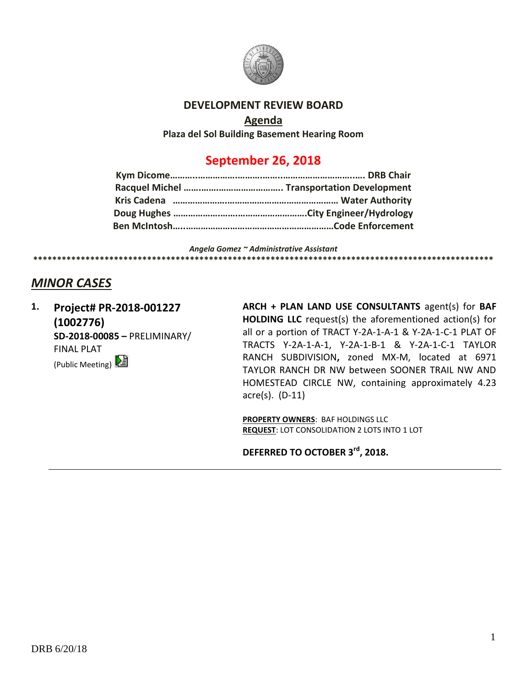

#### **DEVELOPMENT REVIEW BOARD**

**Agenda**

**Plaza del Sol Building Basement Hearing Room**

## **September 26, 2018**

*Angela Gomez ~ Administrative Assistant* **\*\*\*\*\*\*\*\*\*\*\*\*\*\*\*\*\*\*\*\*\*\*\*\*\*\*\*\*\*\*\*\*\*\*\*\*\*\*\*\*\*\*\*\*\*\*\*\*\*\*\*\*\*\*\*\*\*\*\*\*\*\*\*\*\*\*\*\*\*\*\*\*\*\*\*\*\*\*\*\*\*\*\*\*\*\*\*\*\*\*\*\*\*\*\*\*\***

### *MINOR CASES*

**1. Project# PR-2018-001227 (1002776) SD-2018-00085 –** PRELIMINARY/ FINAL PLAT (Public Meeting)

**ARCH + PLAN LAND USE CONSULTANTS** agent(s) for **BAF HOLDING LLC** request(s) the aforementioned action(s) for all or a portion of TRACT Y-2A-1-A-1 & Y-2A-1-C-1 PLAT OF TRACTS Y-2A-1-A-1, Y-2A-1-B-1 & Y-2A-1-C-1 TAYLOR RANCH SUBDIVISION**,** zoned MX-M, located at 6971 TAYLOR RANCH DR NW between SOONER TRAIL NW AND HOMESTEAD CIRCLE NW, containing approximately 4.23 acre(s). (D-11)

**PROPERTY OWNERS**: BAF HOLDINGS LLC **REQUEST**: LOT CONSOLIDATION 2 LOTS INTO 1 LOT

**DEFERRED TO OCTOBER 3rd, 2018.**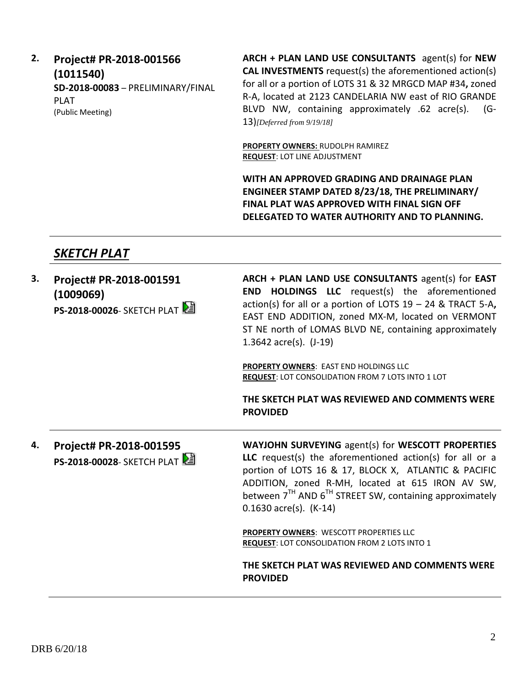### **2. Project# PR-2018-001566 (1011540) SD-2018-00083** – PRELIMINARY/FINAL PLAT (Public Meeting)

**ARCH + PLAN LAND USE CONSULTANTS** agent(s) for **NEW CAL INVESTMENTS** request(s) the aforementioned action(s) for all or a portion of LOTS 31 & 32 MRGCD MAP #34**,** zoned R-A, located at 2123 CANDELARIA NW east of RIO GRANDE BLVD NW, containing approximately .62 acre(s). (G-13)*[Deferred from 9/19/18]*

**PROPERTY OWNERS:** RUDOLPH RAMIREZ **REQUEST**: LOT LINE ADJUSTMENT

**WITH AN APPROVED GRADING AND DRAINAGE PLAN ENGINEER STAMP DATED 8/23/18, THE PRELIMINARY/ FINAL PLAT WAS APPROVED WITH FINAL SIGN OFF DELEGATED TO WATER AUTHORITY AND TO PLANNING.**

# *SKETCH PLAT*

| 3. | Project# PR-2018-001591<br>(1009069)<br><b>PS-2018-00026- SKETCH PLAT</b> | ARCH + PLAN LAND USE CONSULTANTS agent(s) for EAST<br><b>END HOLDINGS LLC</b> request(s) the aforementioned<br>action(s) for all or a portion of LOTS $19 - 24$ & TRACT 5-A,<br>EAST END ADDITION, zoned MX-M, located on VERMONT<br>ST NE north of LOMAS BLVD NE, containing approximately<br>1.3642 $\arccos 1.19$<br>PROPERTY OWNERS: EAST END HOLDINGS LLC<br><b>REQUEST: LOT CONSOLIDATION FROM 7 LOTS INTO 1 LOT</b><br>THE SKETCH PLAT WAS REVIEWED AND COMMENTS WERE<br><b>PROVIDED</b> |
|----|---------------------------------------------------------------------------|-------------------------------------------------------------------------------------------------------------------------------------------------------------------------------------------------------------------------------------------------------------------------------------------------------------------------------------------------------------------------------------------------------------------------------------------------------------------------------------------------|
| 4. | Project# PR-2018-001595<br><b>PS-2018-00028-</b> SKETCH PLAT              | WAYJOHN SURVEYING agent(s) for WESCOTT PROPERTIES<br>LLC request(s) the aforementioned action(s) for all or a<br>portion of LOTS 16 & 17, BLOCK X, ATLANTIC & PACIFIC<br>ADDITION, zoned R-MH, located at 615 IRON AV SW,<br>between $7TH$ AND $6TH$ STREET SW, containing approximately<br>$0.1630$ acre(s). (K-14)                                                                                                                                                                            |
|    |                                                                           | <b>PROPERTY OWNERS: WESCOTT PROPERTIES LLC</b><br><b>REQUEST: LOT CONSOLIDATION FROM 2 LOTS INTO 1</b><br>THE SKETCH PLAT WAS REVIEWED AND COMMENTS WERE                                                                                                                                                                                                                                                                                                                                        |
|    |                                                                           | <b>PROVIDED</b>                                                                                                                                                                                                                                                                                                                                                                                                                                                                                 |